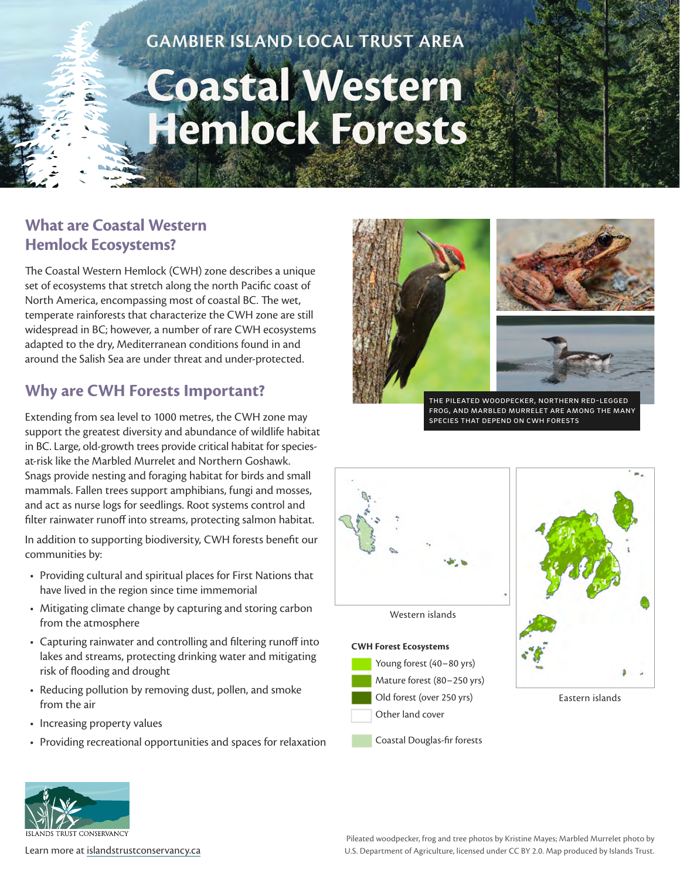## **GAMBIER ISLAND LOCAL TRUST AREA**

# **Coastal Western Hemlock Forests**

#### **What are Coastal Western Hemlock Ecosystems?**

The Coastal Western Hemlock (CWH) zone describes a unique set of ecosystems that stretch along the north Pacific coast of North America, encompassing most of coastal BC. The wet, temperate rainforests that characterize the CWH zone are still widespread in BC; however, a number of rare CWH ecosystems adapted to the dry, Mediterranean conditions found in and around the Salish Sea are under threat and under-protected.

### **Why are CWH Forests Important?**

Extending from sea level to 1000 metres, the CWH zone may support the greatest diversity and abundance of wildlife habitat in BC. Large, old-growth trees provide critical habitat for speciesat-risk like the Marbled Murrelet and Northern Goshawk. Snags provide nesting and foraging habitat for birds and small mammals. Fallen trees support amphibians, fungi and mosses, and act as nurse logs for seedlings. Root systems control and filter rainwater runoff into streams, protecting salmon habitat.

In addition to supporting biodiversity, CWH forests benefit our communities by:

- Providing cultural and spiritual places for First Nations that have lived in the region since time immemorial
- Mitigating climate change by capturing and storing carbon from the atmosphere
- Capturing rainwater and controlling and filtering runoff into lakes and streams, protecting drinking water and mitigating risk of flooding and drought
- Reducing pollution by removing dust, pollen, and smoke from the air
- Increasing property values
- Providing recreational opportunities and spaces for relaxation







the pileated woodpecker, northern red-legged frog, and marbled murrelet are among the many species that depend on cwh forests



**CWH Forest Ecosystems**

Young forest (40–80 yrs) Mature forest (80–250 yrs) Old forest (over 250 yrs) Other land cover

Coastal Douglas-fir forests



Eastern islands



Pileated woodpecker, frog and tree photos by Kristine Mayes; Marbled Murrelet photo by Learn more at [islandstrustconservancy.ca](http://islandstrustconservancy.ca) example and the U.S. Department of Agriculture, licensed under CC BY 2.0. Map produced by Islands Trust.